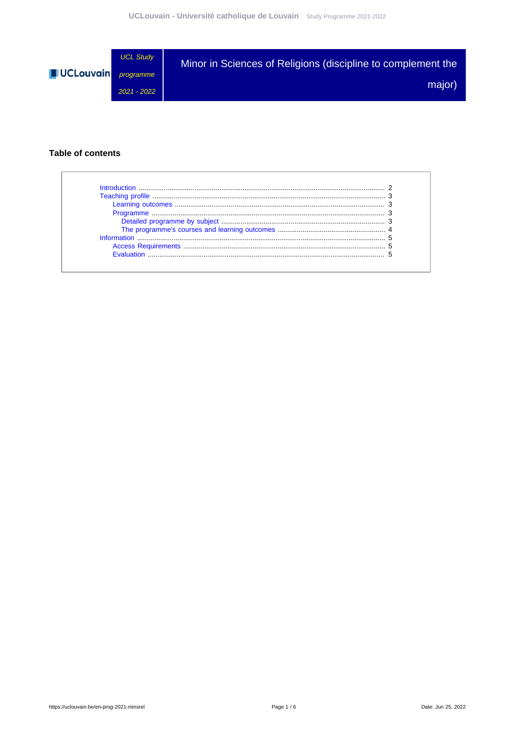

### **Table of contents**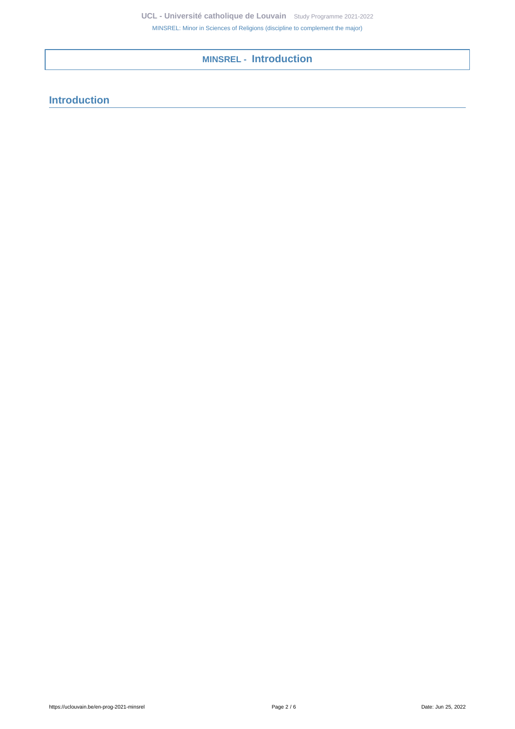**MINSREL - Introduction**

# <span id="page-1-0"></span>**Introduction**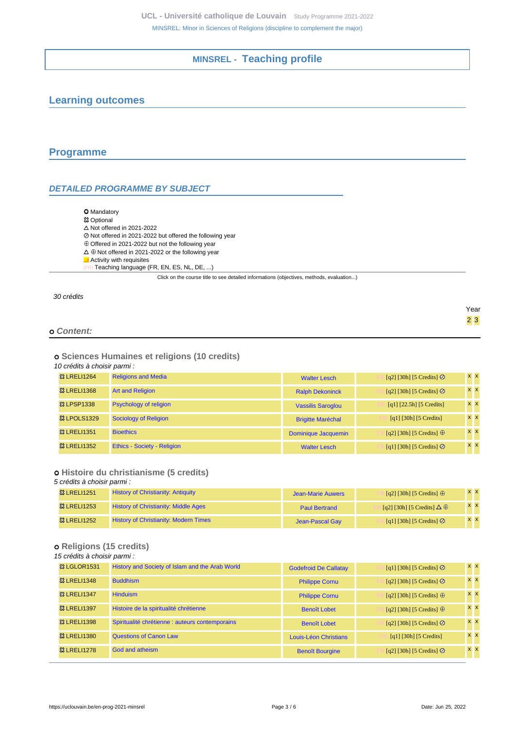# **MINSREL - Teaching profile**

# <span id="page-2-1"></span><span id="page-2-0"></span>**Learning outcomes**

## <span id="page-2-2"></span>**Programme**

## <span id="page-2-3"></span>**DETAILED PROGRAMME BY SUBJECT**

- **O** Mandatory **83 Optional**
- $\Delta$  Not offered in 2021-2022
- Not offered in 2021-2022 but offered the following year
- $\oplus$  Offered in 2021-2022 but not the following year
- $\Delta\,\oplus$  Not offered in 2021-2022 or the following year
- **Activity with requisites**
- Teaching language (FR, EN, ES, NL, DE, ...)

Click on the course title to see detailed informations (objectives, methods, evaluation...)

#### 30 crédits

|            | Year            |
|------------|-----------------|
|            | $2\overline{3}$ |
| o Content: |                 |

### **Sciences Humaines et religions (10 credits)**

#### 10 crédits à choisir parmi :

| <b>&amp; LRELI1264</b> | <b>Religions and Media</b>    | <b>Walter Lesch</b>      | [q2] [30h] [5 Credits] $\oslash$ | $x \times$     |
|------------------------|-------------------------------|--------------------------|----------------------------------|----------------|
| <b>&amp; LRELI1368</b> | <b>Art and Religion</b>       | <b>Ralph Dekoninck</b>   | $[q2]$ [30h] [5 Credits] $\odot$ | $x \mid x$     |
| <b>83 LPSP1338</b>     | <b>Psychology of religion</b> | <b>Vassilis Saroglou</b> | $[q1]$ [22.5h] [5 Credits]       | $x \mathbf{X}$ |
| <b>&amp; LPOLS1329</b> | Sociology of Religion         | <b>Brigitte Maréchal</b> | [q1] [30h] [5 Credits]           | $x \times$     |
| <b>83 LRELI1351</b>    | <b>Bioethics</b>              | Dominique Jacquemin      | [q2] [30h] [5 Credits] $\oplus$  | $x \mid x$     |
| <b>&amp; LRELI1352</b> | Ethics - Society - Religion   | <b>Walter Lesch</b>      | [q1] [30h] [5 Credits] $\odot$   | $x \mid x$     |

### **Histoire du christianisme (5 credits)**

#### 5 crédits à choisir parmi :

| <b>&amp; LRELI1251</b> | <b>History of Christianity: Antiquity</b>    | Jean-Marie Auwers    | [q2] [30h] [5 Credits] $\oplus$        | <b>x x</b> |
|------------------------|----------------------------------------------|----------------------|----------------------------------------|------------|
| <b>83 LRELI1253</b>    | <b>History of Christianity: Middle Ages</b>  | <b>Paul Bertrand</b> | [q2] [30h] [5 Credits] $\Delta \oplus$ | <b>XX</b>  |
| <b>&amp; LRELI1252</b> | <b>History of Christianity: Modern Times</b> | Jean-Pascal Gay      | [q1] [30h] [5 Credits] $\oslash$       | <b>XX</b>  |

## **Religions (15 credits)**

#### 15 crédits à choisir parmi :

| <b>&amp; LGLOR1531</b> | History and Society of Islam and the Arab World | <b>Godefroid De Callatay</b> | [q1] [30h] [5 Credits] $\odot$  | $x \times$ |
|------------------------|-------------------------------------------------|------------------------------|---------------------------------|------------|
| <b>&amp; LRELI1348</b> | <b>Buddhism</b>                                 | <b>Philippe Cornu</b>        | [q2] [30h] [5 Credits] $\odot$  | $x \mid x$ |
| <b>83 LRELI1347</b>    | <b>Hinduism</b>                                 | <b>Philippe Cornu</b>        | [q2] [30h] [5 Credits] $\oplus$ | $x \times$ |
| <b>&amp; LRELI1397</b> | Histoire de la spiritualité chrétienne          | <b>Benoît Lobet</b>          | [q2] [30h] [5 Credits] $\oplus$ | $x \times$ |
| <b>&amp; LRELI1398</b> | Spiritualité chrétienne : auteurs contemporains | <b>Benoît Lobet</b>          | [q2] [30h] [5 Credits] $\odot$  | $x \mid x$ |
| <b>&amp; LRELI1380</b> | <b>Questions of Canon Law</b>                   | Louis-Léon Christians        | [q1] [30h] [5 Credits]          | $x \times$ |
| <b>83 LRELI1278</b>    | God and atheism                                 | <b>Benoît Bourgine</b>       | [q2] [30h] [5 Credits] $\odot$  | $x \times$ |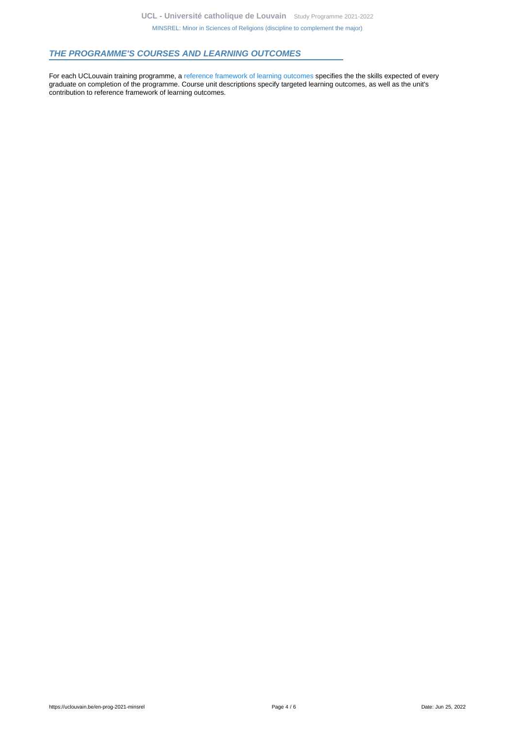### <span id="page-3-0"></span>**THE PROGRAMME'S COURSES AND LEARNING OUTCOMES**

For each UCLouvain training programme, a [reference framework of learning outcomes](https://uclouvain.be/en-prog-2021-minsrel-competences_et_acquis.html) specifies the the skills expected of every graduate on completion of the programme. Course unit descriptions specify targeted learning outcomes, as well as the unit's contribution to reference framework of learning outcomes.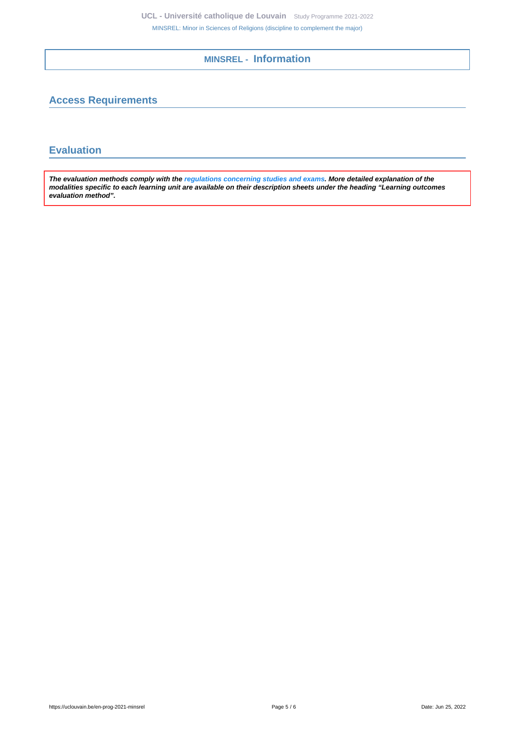**MINSREL - Information**

# <span id="page-4-1"></span><span id="page-4-0"></span>**Access Requirements**

# <span id="page-4-2"></span>**Evaluation**

**The evaluation methods comply with the [regulations concerning studies and exams](https://uclouvain.be/fr/decouvrir/rgee.html). More detailed explanation of the modalities specific to each learning unit are available on their description sheets under the heading "Learning outcomes evaluation method".**